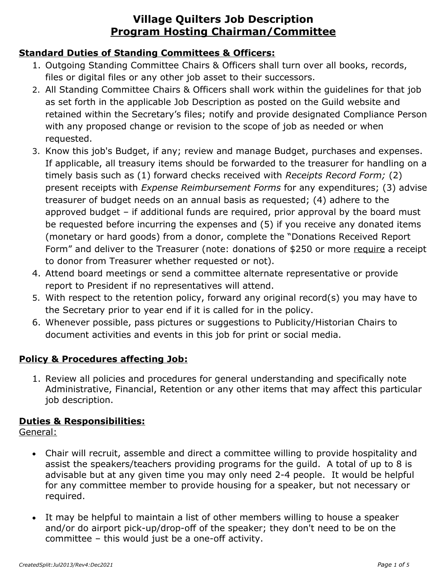#### **Standard Duties of Standing Committees & Officers:**

- 1. Outgoing Standing Committee Chairs & Officers shall turn over all books, records, files or digital files or any other job asset to their successors.
- 2. All Standing Committee Chairs & Officers shall work within the guidelines for that job as set forth in the applicable Job Description as posted on the Guild website and retained within the Secretary's files; notify and provide designated Compliance Person with any proposed change or revision to the scope of job as needed or when requested.
- 3. Know this job's Budget, if any; review and manage Budget, purchases and expenses. If applicable, all treasury items should be forwarded to the treasurer for handling on a timely basis such as (1) forward checks received with *Receipts Record Form;* (2) present receipts with *Expense Reimbursement Forms* for any expenditures; (3) advise treasurer of budget needs on an annual basis as requested; (4) adhere to the approved budget – if additional funds are required, prior approval by the board must be requested before incurring the expenses and (5) if you receive any donated items (monetary or hard goods) from a donor, complete the "Donations Received Report Form" and deliver to the Treasurer (note: donations of \$250 or more require a receipt to donor from Treasurer whether requested or not).
- 4. Attend board meetings or send a committee alternate representative or provide report to President if no representatives will attend.
- 5. With respect to the retention policy, forward any original record(s) you may have to the Secretary prior to year end if it is called for in the policy.
- 6. Whenever possible, pass pictures or suggestions to Publicity/Historian Chairs to document activities and events in this job for print or social media.

#### **Policy & Procedures affecting Job:**

1. Review all policies and procedures for general understanding and specifically note Administrative, Financial, Retention or any other items that may affect this particular job description.

#### **Duties & Responsibilities:**

General:

- Chair will recruit, assemble and direct a committee willing to provide hospitality and assist the speakers/teachers providing programs for the guild. A total of up to 8 is advisable but at any given time you may only need 2-4 people. It would be helpful for any committee member to provide housing for a speaker, but not necessary or required.
- It may be helpful to maintain a list of other members willing to house a speaker and/or do airport pick-up/drop-off of the speaker; they don't need to be on the committee – this would just be a one-off activity.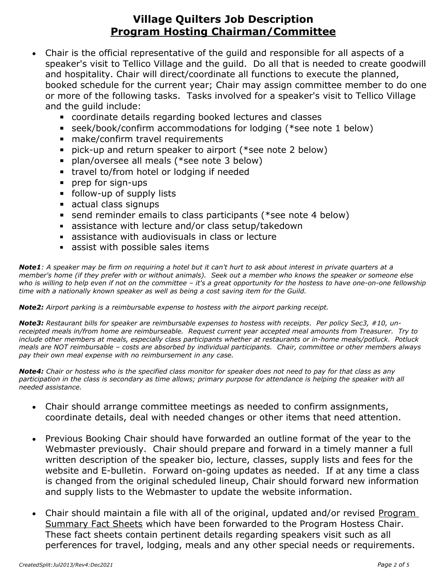- Chair is the official representative of the guild and responsible for all aspects of a speaker's visit to Tellico Village and the guild. Do all that is needed to create goodwill and hospitality. Chair will direct/coordinate all functions to execute the planned, booked schedule for the current year; Chair may assign committee member to do one or more of the following tasks. Tasks involved for a speaker's visit to Tellico Village and the guild include:
	- coordinate details regarding booked lectures and classes
	- seek/book/confirm accommodations for lodging (\*see note 1 below)
	- make/confirm travel requirements
	- pick-up and return speaker to airport (\*see note 2 below)
	- plan/oversee all meals (\*see note 3 below)
	- **EXEC** travel to/from hotel or lodging if needed
	- **prep for sign-ups**
	- follow-up of supply lists
	- actual class signups
	- **EX** send reminder emails to class participants (\*see note 4 below)
	- **E** assistance with lecture and/or class setup/takedown
	- **EXEC** assistance with audiovisuals in class or lecture
	- **Example 3 assist with possible sales items**

*Note1: A speaker may be firm on requiring a hotel but it can't hurt to ask about interest in private quarters at a member's home (if they prefer with or without animals). Seek out a member who knows the speaker or someone else who is willing to help even if not on the committee – it's a great opportunity for the hostess to have one-on-one fellowship time with a nationally known speaker as well as being a cost saving item for the Guild.* 

*Note2: Airport parking is a reimbursable expense to hostess with the airport parking receipt.* 

*Note3: Restaurant bills for speaker are reimbursable expenses to hostess with receipts. Per policy Sec3, #10, unreceipted meals in/from home are reimburseable. Request current year accepted meal amounts from Treasurer. Try to include other members at meals, especially class participants whether at restaurants or in-home meals/potluck. Potluck meals are NOT reimbursable – costs are absorbed by individual participants. Chair, committee or other members always pay their own meal expense with no reimbursement in any case.* 

*Note4: Chair or hostess who is the specified class monitor for speaker does not need to pay for that class as any participation in the class is secondary as time allows; primary purpose for attendance is helping the speaker with all needed assistance.*

- Chair should arrange committee meetings as needed to confirm assignments, coordinate details, deal with needed changes or other items that need attention.
- Previous Booking Chair should have forwarded an outline format of the year to the Webmaster previously. Chair should prepare and forward in a timely manner a full written description of the speaker bio, lecture, classes, supply lists and fees for the website and E-bulletin. Forward on-going updates as needed. If at any time a class is changed from the original scheduled lineup, Chair should forward new information and supply lists to the Webmaster to update the website information.
- Chair should maintain a file with all of the original, updated and/or revised Program Summary Fact Sheets which have been forwarded to the Program Hostess Chair. These fact sheets contain pertinent details regarding speakers visit such as all perferences for travel, lodging, meals and any other special needs or requirements.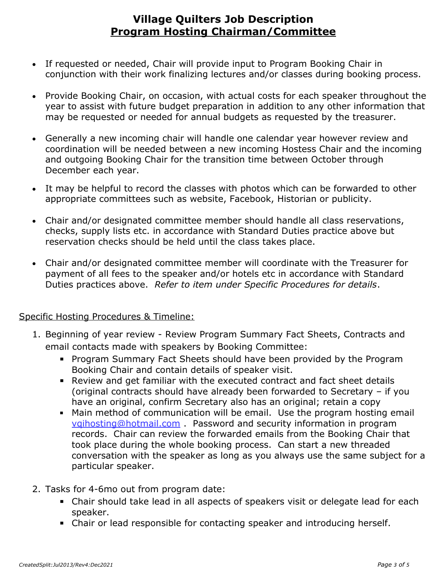- If requested or needed, Chair will provide input to Program Booking Chair in conjunction with their work finalizing lectures and/or classes during booking process.
- Provide Booking Chair, on occasion, with actual costs for each speaker throughout the year to assist with future budget preparation in addition to any other information that may be requested or needed for annual budgets as requested by the treasurer.
- Generally a new incoming chair will handle one calendar year however review and coordination will be needed between a new incoming Hostess Chair and the incoming and outgoing Booking Chair for the transition time between October through December each year.
- It may be helpful to record the classes with photos which can be forwarded to other appropriate committees such as website, Facebook, Historian or publicity.
- Chair and/or designated committee member should handle all class reservations, checks, supply lists etc. in accordance with Standard Duties practice above but reservation checks should be held until the class takes place.
- Chair and/or designated committee member will coordinate with the Treasurer for payment of all fees to the speaker and/or hotels etc in accordance with Standard Duties practices above. *Refer to item under Specific Procedures for details*.

#### Specific Hosting Procedures & Timeline:

- 1. Beginning of year review Review Program Summary Fact Sheets, Contracts and email contacts made with speakers by Booking Committee:
	- **Program Summary Fact Sheets should have been provided by the Program** Booking Chair and contain details of speaker visit.
	- Review and get familiar with the executed contract and fact sheet details (original contracts should have already been forwarded to Secretary – if you have an original, confirm Secretary also has an original; retain a copy
	- **Main method of communication will be email. Use the program hosting email** [vqihosting@hotmail.com](mailto:vqihosting@hotmail.com) . Password and security information in program records. Chair can review the forwarded emails from the Booking Chair that took place during the whole booking process. Can start a new threaded conversation with the speaker as long as you always use the same subject for a particular speaker.
- 2. Tasks for 4-6mo out from program date:
	- Chair should take lead in all aspects of speakers visit or delegate lead for each speaker.
	- Chair or lead responsible for contacting speaker and introducing herself.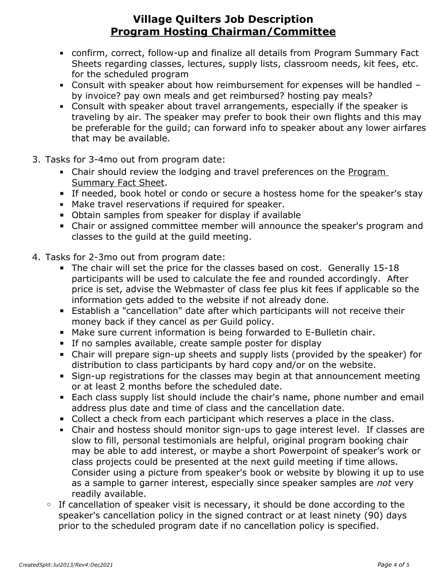- confirm, correct, follow-up and finalize all details from Program Summary Fact Sheets regarding classes, lectures, supply lists, classroom needs, kit fees, etc. for the scheduled program
- Consult with speaker about how reimbursement for expenses will be handled by invoice? pay own meals and get reimbursed? hosting pay meals?
- Consult with speaker about travel arrangements, especially if the speaker is traveling by air. The speaker may prefer to book their own flights and this may be preferable for the guild; can forward info to speaker about any lower airfares that may be available.
- 3. Tasks for 3-4mo out from program date:
	- **EXAGO EXAGO F** Chair should review the lodging and travel preferences on the Program Summary Fact Sheet.
	- **EXT** If needed, book hotel or condo or secure a hostess home for the speaker's stay
	- **■** Make travel reservations if required for speaker.
	- Obtain samples from speaker for display if available
	- **EXAGE THE Chair or assigned committee member will announce the speaker's program and** classes to the guild at the guild meeting.
- 4. Tasks for 2-3mo out from program date:
	- **The chair will set the price for the classes based on cost. Generally 15-18** participants will be used to calculate the fee and rounded accordingly. After price is set, advise the Webmaster of class fee plus kit fees if applicable so the information gets added to the website if not already done.
	- **Establish a "cancellation" date after which participants will not receive their** money back if they cancel as per Guild policy.
	- Make sure current information is being forwarded to E-Bulletin chair.
	- **EXTE:** If no samples available, create sample poster for display
	- Chair will prepare sign-up sheets and supply lists (provided by the speaker) for distribution to class participants by hard copy and/or on the website.
	- **EXIGM-UP IS 19 FOR STARK STARK IS A SET AT A SET IS EXABLEM** FOR Sign-up regions for the Class Sign-up reging or at least 2 months before the scheduled date.
	- Each class supply list should include the chair's name, phone number and email address plus date and time of class and the cancellation date.
	- **Collect a check from each participant which reserves a place in the class.**
	- Chair and hostess should monitor sign-ups to gage interest level. If classes are slow to fill, personal testimonials are helpful, original program booking chair may be able to add interest, or maybe a short Powerpoint of speaker's work or class projects could be presented at the next guild meeting if time allows. Consider using a picture from speaker's book or website by blowing it up to use as a sample to garner interest, especially since speaker samples are *not* very readily available.
	- If cancellation of speaker visit is necessary, it should be done according to the speaker's cancellation policy in the signed contract or at least ninety (90) days prior to the scheduled program date if no cancellation policy is specified.